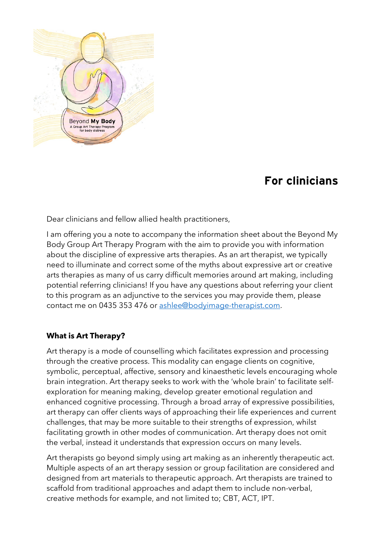

## **For clinicians**

Dear clinicians and fellow allied health practitioners,

I am offering you a note to accompany the information sheet about the Beyond My Body Group Art Therapy Program with the aim to provide you with information about the discipline of expressive arts therapies. As an art therapist, we typically need to illuminate and correct some of the myths about expressive art or creative arts therapies as many of us carry difficult memories around art making, including potential referring clinicians! If you have any questions about referring your client to this program as an adjunctive to the services you may provide them, please contact me on 0435 353 476 or [ashlee@bodyimage-therapist.com.](mailto:ashlee@bodyimage-therapist.com)

## **What is Art Therapy?**

Art therapy is a mode of counselling which facilitates expression and processing through the creative process. This modality can engage clients on cognitive, symbolic, perceptual, affective, sensory and kinaesthetic levels encouraging whole brain integration. Art therapy seeks to work with the 'whole brain' to facilitate selfexploration for meaning making, develop greater emotional regulation and enhanced cognitive processing. Through a broad array of expressive possibilities, art therapy can offer clients ways of approaching their life experiences and current challenges, that may be more suitable to their strengths of expression, whilst facilitating growth in other modes of communication. Art therapy does not omit the verbal, instead it understands that expression occurs on many levels.

Art therapists go beyond simply using art making as an inherently therapeutic act. Multiple aspects of an art therapy session or group facilitation are considered and designed from art materials to therapeutic approach. Art therapists are trained to scaffold from traditional approaches and adapt them to include non-verbal, creative methods for example, and not limited to; CBT, ACT, IPT.